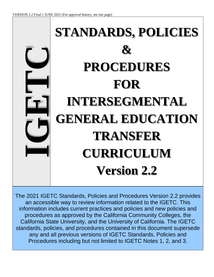# **EXAMPLE SECONDURES**<br> **FOR**<br> **ENERAL EDUCATIO**<br> **TRANSFER**<br>
CURRICULUM<br>
Version 2.2<br> **PROCEDURE SECOND TRANSFER**<br>
CURRICULUM<br>
Version 2.2<br> **PROCEDURE SECOND ASSEM**<br>
PROCEDURE CONSIDERS that all previous version 2.2 pro<br>
an **STANDARDS, POLICIES & PROCEDURES FOR INTERSEGMENTAL GENERAL EDUCATION TRANSFER CURRICULUM Version 2.2**

The 2021 IGETC Standards, Policies and Procedures Version 2.2 provides an accessible way to review information related to the IGETC. This information includes current practices and policies and new policies and procedures as approved by the California Community Colleges, the California State University, and the University of California. The IGETC standards, policies, and procedures contained in this document supersede any and all previous versions of IGETC Standards, Policies and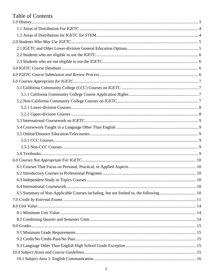# **Table of Contents**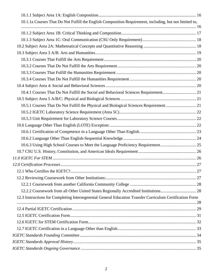| 10.1.1a Courses That Do Not Fulfill the English Composition Requirement, including, but not limited to,  |  |
|----------------------------------------------------------------------------------------------------------|--|
|                                                                                                          |  |
|                                                                                                          |  |
|                                                                                                          |  |
|                                                                                                          |  |
|                                                                                                          |  |
|                                                                                                          |  |
|                                                                                                          |  |
|                                                                                                          |  |
|                                                                                                          |  |
|                                                                                                          |  |
|                                                                                                          |  |
|                                                                                                          |  |
| 10.5.1 Courses That Do Not Fulfill the Physical and Biological Sciences Requirement 21                   |  |
|                                                                                                          |  |
|                                                                                                          |  |
|                                                                                                          |  |
|                                                                                                          |  |
|                                                                                                          |  |
| 10.6.3 Using High School Courses to Meet the Language Proficiency Requirement 25                         |  |
|                                                                                                          |  |
|                                                                                                          |  |
|                                                                                                          |  |
|                                                                                                          |  |
|                                                                                                          |  |
|                                                                                                          |  |
|                                                                                                          |  |
| 12.3 Instructions for Completing Intersegmental General Education Transfer Curriculum Certification Form |  |
|                                                                                                          |  |
|                                                                                                          |  |
|                                                                                                          |  |
|                                                                                                          |  |
|                                                                                                          |  |
|                                                                                                          |  |
|                                                                                                          |  |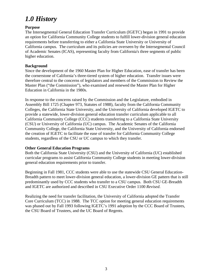# <span id="page-3-0"></span>*1.0 History*

## **Purpose**

The Intersegmental General Education Transfer Curriculum (IGETC) began in 1991 to provide an option for California Community College students to fulfill lower-division general education requirements before transferring to either a California State University or University of California campus. The curriculum and its policies are overseen by the Intersegmental Council of Academic Senates (ICAS), representing faculty from California's three segments of public higher education.

## **Background**

Since the development of the 1960 Master Plan for Higher Education, ease of transfer has been the cornerstone of California's three-tiered system of higher education. Transfer issues were therefore central to the concerns of legislators and members of the Commission to Review the Master Plan ("the Commission")*,* who examined and renewed the Master Plan for Higher Education in California in the 1980s.

In response to the concerns raised by the Commission and the Legislature, embodied in Assembly Bill 1725 (Chapter 973, Statutes of 1988)*,* faculty from the California Community Colleges, the California State University, and the University of California developed IGETC to provide a statewide, lower-division general education transfer curriculum applicable to all California Community College (CCC) students transferring to a California State University (CSU) or University of California (UC) campus. The Academic Senates of the California Community College, the California State University, and the University of California endorsed the creation of IGETC to facilitate the ease of transfer for California Community College students, regardless of the CSU or UC campus to which they transfer.

### **Other General Education Programs**

Both the California State University (CSU) and the University of California (UC) established curricular programs to assist California Community College students in meeting lower-division general education requirements prior to transfer.

Beginning in Fall 1981, CCC students were able to use the statewide CSU General Education-Breadth pattern to meet lower-division general education, a lower-division GE pattern that is still predominantly used by CCC students who transfer to a CSU campus. Both CSU GE-Breadth and IGETC are authorized and described in CSU Executive Order 1100 *Revised*.

Realizing the need for transfer facilitation, the University of California adopted the Transfer Core Curriculum (TCC) in 1988. The TCC option for meeting general education requirements was phased out by Fall 1993 following IGETC's 1991 adoption by the CCC Board of Trustees, the CSU Board of Trustees, and the UC Board of Regents.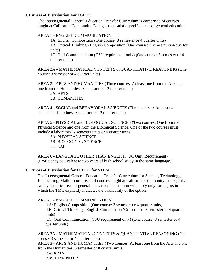#### <span id="page-4-0"></span>**1.1 Areas of Distribution For IGETC**

The Intersegmental General Education Transfer Curriculum is comprised of courses taught at California Community Colleges that satisfy specific areas of general education:

AREA 1 - ENGLISH COMMUNICATION

1A: English Composition (One course: 3 semester or 4 quarter units) 1B: Critical Thinking - English Composition (One course: 3 semester or 4 quarter units)

1C: Oral Communication (CSU requirement only) (One course: 3 semester or 4 quarter units)

AREA 2A - MATHEMATICAL CONCEPTS & QUANTITATIVE REASONING (One course: 3 semester or 4 quarter units)

AREA 3 - ARTS AND HUMANITIES (Three courses: At least one from the Arts and one from the Humanities. 9 semester or 12 quarter units)

 3A: ARTS 3B: HUMANITIES

AREA 4 - SOCIAL and BEHAVIORAL SCIENCES (Three courses: At least two academic disciplines. 9 semester or 12 quarter units)

AREA 5 - PHYSICAL and BIOLOGICAL SCIENCES (Two courses: One from the Physical Science and one from the Biological Science. One of the two courses must include a laboratory. 7 semester units or 9 quarter units)

 5A: PHYSICAL SCIENCE 5B: BIOLOGICAL SCIENCE 5C: LAB

AREA 6 - LANGUAGE OTHER THAN ENGLISH (UC Only Requirement) (Proficiency equivalent to two years of high school study in the same language.)

#### <span id="page-4-1"></span>**1.2 Areas of Distribution for IGETC for STEM**

The Intersegmental General Education Transfer Curriculum for Science, Technology, Engineering, Math is comprised of courses taught at California Community Colleges that satisfy specific areas of general education. This option will apply only for majors in which the TMC explicitly indicates the availability of the option.

#### AREA 1 - ENGLISH COMMUNICATION

1A: English Composition (One course: 3 semester or 4 quarter units)

1B: Critical Thinking - English Composition (One course: 3 semester or 4 quarter units)

1C: Oral Communication (CSU requirement only) (One course: 3 semester or 4 quarter units)

### AREA 2A - MATHEMATICAL CONCEPTS & QUANTITATIVE REASONING (One course: 3 semester or 4 quarter units)

AREA 3 - ARTS AND HUMANITIES (Two courses: At least one from the Arts and one from the Humanities. 6 semester or 8 quarter units)

3A: ARTS

3B: HUMANITIES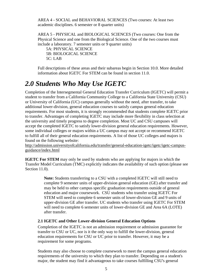AREA 4 - SOCIAL and BEHAVIORAL SCIENCES (Two courses: At least two academic disciplines. 6 semester or 8 quarter units)

AREA 5 - PHYSICAL and BIOLOGICAL SCIENCES (Two courses: One from the Physical Science and one from the Biological Science. One of the two courses must include a laboratory. 7 semester units or 9 quarter units)

 5A: PHYSICAL SCIENCE 5B: BIOLOGICAL SCIENCE 5C: LAB

Full descriptions of these areas and their subareas begin in Section 10.0. More detailed information about IGETC For STEM can be found in section 11.0.

# <span id="page-5-0"></span>*2.0 Students Who May Use IGETC*

Completion of the Intersegmental General Education Transfer Curriculum (IGETC) will permit a student to transfer from a California Community College to a California State University (CSU) or University of California (UC) campus generally without the need, after transfer, to take additional lower-division, general education courses to satisfy campus general education requirements. For most students, it is strongly recommended that students complete IGETC prior to transfer. Advantages of completing IGETC may include more flexibility in class selection at the university and timely progress to degree completion. Most UC and CSU campuses will accept the completed IGETC to satisfy lower-division general education requirements*.* However, some individual colleges or majors within a UC campus may not accept or recommend IGETC to fulfill all of their general education requirements. A list of those UC colleges and majors is found on the following website:

[http://admission.universityofcalifornia.edu/transfer/general-education-igetc/igetc/igetc-campus](http://admission.universityofcalifornia.edu/transfer/general-education-igetc/igetc/igetc-campus-guidance/index.html)[guidance/index.html](http://admission.universityofcalifornia.edu/transfer/general-education-igetc/igetc/igetc-campus-guidance/index.html)

**IGETC For STEM** may only be used by students who are applying for majors in which the Transfer Model Curriculum (TMC) explicitly indicates the availability of such option (please see Section 11.0).

> **Note:** Students transferring to a CSU with a completed IGETC will still need to complete 9 semester units of upper-division general education (GE) after transfer and may be held to other campus specific graduation requirements outside of general education and major coursework. CSU students who transfer using IGETC For STEM will need to complete 6 semester units of lower-division GE and 9 units of upper-division GE after transfer. UC students who transfer using IGETC For STEM will need to complete 6 semester units of lower-division GE and Area 6A (LOTE) after transfer.

# <span id="page-5-1"></span>**2.1 IGETC and Other Lower-division General Education Options**

Completion of the IGETC is not an admission requirement or admission guarantee for transfer to CSU or UC, nor is it the only way to fulfill the lower-division, general education requirements for CSU or UC prior to transfer. However, it may be a requirement for some programs.

Students may also choose to complete coursework to meet the campus general education requirements of the university to which they plan to transfer. Depending on a student's major, the student may find it advantageous to take courses fulfilling CSU's general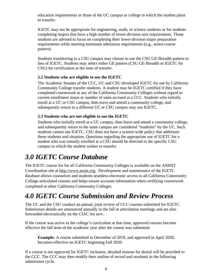education requirements or those of the UC campus or college to which the student plans to transfer.

IGETC may not be appropriate for engineering, math, or science students or for students completing majors that have a high number of lower-division unit requirements. Those students are advised to focus on completing their lower-division major preparation requirements while meeting minimum admission requirements (e.g., seven-course pattern).

Students transferring to a CSU campus may choose to use the CSU GE-Breadth pattern in lieu of IGETC. Students may select either GE pattern (CSU GE-Breadth or IGETC for CSU) for certification at the time of transfer.

# <span id="page-6-0"></span>**2.2 Students who are eligible to use the IGETC**

The Academic Senates of the CCC, UC and CSU developed IGETC for use by California Community College transfer students. A student may be IGETC certified if they have completed coursework at any of the California Community Colleges without regard to current enrollment status or number of units accrued at a CCC. Students who initially enroll at a UC or CSU campus, then leave and attend a community college, and subsequently return to a different UC or CSU campus may use IGETC.

# <span id="page-6-1"></span>**2.3 Students who are not eligible to use the IGETC**

Students who initially enroll at a UC campus, then leave and attend a community college, and subsequently return to the same campus are considered "readmits" by the UC. Such students cannot use IGETC. CSU does not have a system-wide policy that addresses these students and situation. Questions regarding the appropriate use of IGETC for a student who was initially enrolled at a CSU should be directed to the specific CSU campus to which the student wishes to transfer.

# <span id="page-6-2"></span>*3.0 IGETC Course Database*

The IGETC course list for all California Community Colleges is available on the ASSIST Coordination site at [http://www.assist.org.](http://www.assist.org/) Development and maintenance of the IGETC database allows counselors and students seamless electronic access to all California Community College articulated courses and helps ensure accurate information when certifying coursework completed at other California Community Colleges.

# <span id="page-6-3"></span>*4.0 IGETC Course Submission and Review Process*

The UC and the CSU conduct an annual, joint review of CCC courses submitted for IGETC. Submission details are announced annually in the fall at articulation meetings and are also forwarded electronically on the CIAC list serv.

If the course was active in the college's curriculum at that time, approved courses become effective the fall term of the academic year after the course was submitted.

**Example:** A course submitted in December of 2019, and approved in April 2020, becomes effective on IGETC beginning Fall 2020.

If a course is not approved for IGETC inclusion, detailed reasons for denial will be provided to the CCC. The CCC may then modify their outline of record and resubmit in the following submission cycle.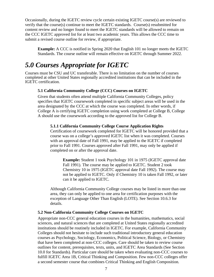Occasionally, during the IGETC review cycle certain existing IGETC course(s) are reviewed to verify that the course(s) continue to meet the IGETC standards. Course(s) resubmitted for content review and no longer found to meet the IGETC standards will be allowed to remain on the CCC IGETC approved list for at least two academic years. This allows the CCC time to submit a revised course outline for review, if appropriate.

**Example:** A CCC is notified in Spring 2020 that English 101 no longer meets the IGETC Standards. The course outline will remain effective on IGETC through Summer 2022.

# <span id="page-7-0"></span>*5.0 Courses Appropriate for IGETC*

<span id="page-7-1"></span>Courses must be CSU and UC transferable. There is no limitation on the number of courses completed at other United States regionally accredited institutions that can be included in the IGETC certification.

# **5.1 California Community College (CCC) Courses on IGETC**

Given that students often attend multiple California Community Colleges, policy specifies that IGETC coursework completed in specific subject areas will be used in the area designated by the CCC at which the course was completed. In other words, if College A is certifying IGETC completion using work completed at College B, College A should use the coursework according to the approved list for College B.

### <span id="page-7-2"></span>**5.1.1 California Community College Course Application Rights**

Certification of coursework completed for IGETC will be honored provided that a course was on a college's approved IGETC list when it was completed. Courses with an approval date of Fall 1991, may be applied to the IGETC if completed prior to Fall 1991. Courses approved after Fall 1991, may only be applied if completed on or after the approval date.

**Example:** Student 1 took Psychology 101 in 1975 (IGETC approval date Fall 1991)*.* The course may be applied to IGETC. Student 2 took Chemistry 10 in 1975 (IGETC approval date Fall 1992). The course may not be applied to IGETC. Only if Chemistry 10 is taken Fall 1992, or later can it be applied to IGETC.

Although California Community College courses may be listed in more than one area, they can only be applied to one area for certification purposes with the exception of Language Other Than English (LOTE). See Section 10.6.3 for details.

### <span id="page-7-3"></span>**5.2 Non-California Community College Courses on IGETC**

Appropriate non-CCC general education courses in the humanities, mathematics, social sciences, and natural sciences that are completed at United States regionally accredited institutions should be routinely included in IGETC. For example, California Community Colleges should not hesitate to include such traditional introductory general education courses as Psychology, Sociology, Economics, Political Science, Biology, or Chemistry that have been completed at non-CCC colleges. Care should be taken to review course outlines for content, prerequisites, texts, units, and IGETC Area Standards (See Section 10.0 for Standards)*.* Particular care should be taken when evaluating non-CCC courses to fulfill IGETC Area 1B, Critical Thinking and Composition. Few non-CCC colleges offer a second semester course that combines Critical Thinking and English Composition*.*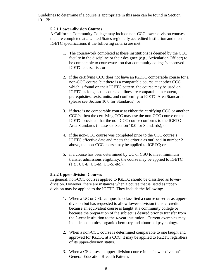Guidelines to determine if a course is appropriate in this area can be found in Section 10.1.2b.

### <span id="page-8-0"></span>**5.2.1 Lower-division Courses**

A California Community College may include non-CCC lower-division courses that are completed at a United States regionally accredited institution and meet IGETC specifications if the following criteria are met:

- 1. The coursework completed at these institutions is deemed by the CCC faculty in the discipline or their designee (e.g., Articulation Officer) to be comparable to coursework on that community college's approved IGETC course list; or
- 2. if the certifying CCC does not have an IGETC comparable course for a non-CCC course, but there is a comparable course at another CCC which is found on their IGETC pattern, the course may be used on IGETC as long as the course outlines are comparable in content, prerequisites, texts, units, and conformity to IGETC Area Standards (please see Section 10.0 for Standards); or
- 3. if there is no comparable course at either the certifying CCC or another CCC's, then the certifying CCC may use the non-CCC course on the IGETC provided that the non-CCC course conforms to the IGETC Area Standards (please see Section 10.0 for Standards); or
- 4. if the non-CCC course was completed prior to the CCC course's IGETC effective date and meets the criteria as outlined in number 2 above, the non-CCC course may be applied to IGETC; or
- 5. if a course has been determined by UC or CSU to meet minimum transfer admissions eligibility, the course may be applied to IGETC (e.g., UC-E, UC-M, UC-S, etc.).

#### <span id="page-8-1"></span>**5.2.2 Upper-division Courses**

In general, non-CCC courses applied to IGETC should be classified as lowerdivision. However, there are instances when a course that is listed as upperdivision may be applied to the IGETC. They include the following:

- 1. When a UC or CSU campus has classified a course or series as upperdivision but has requested to allow lower- division transfer credit because an equivalent course is taught at a community college or because the preparation of the subject is desired prior to transfer from the 2-year institution to the 4-year institution. Current examples may include economics, organic chemistry and abnormal psychology.
- 2. When a non-CCC course is determined comparable to one taught and approved for IGETC at a CCC, it may be applied to IGETC regardless of its upper-division status.
- 3. When a CSU uses an upper-division course in its "lower-division" General Education Breadth Pattern.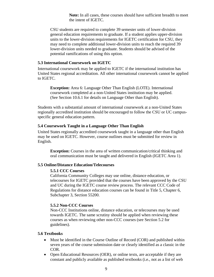**Note:** In all cases, these courses should have sufficient breadth to meet the intent of IGETC.

CSU students are required to complete 39 semester units of lower-division general education requirements to graduate. If a student applies upper-division units to the lower-division requirements for IGETC certification for CSU, they may need to complete additional lower-division units to reach the required 39 lower-division units needed to graduate. Students should be advised of the potential ramifications of using this option.

#### <span id="page-9-0"></span>**5.3 International Coursework on IGETC**

International coursework may be applied to IGETC if the international institution has United States regional accreditation. All other international coursework cannot be applied to IGETC.

**Exception:** Area 6: Language Other Than English (LOTE). International coursework completed at a non-United States institution may be applied. (See Section 10.6.1 for details on Language Other than English).

Students with a substantial amount of international coursework at a non-United States regionally accredited institution should be encouraged to follow the CSU or UC campusspecific general education pattern.

#### <span id="page-9-1"></span>**5.4 Coursework Taught in a Language Other Than English**

United States regionally accredited coursework taught in a language other than English may be used on IGETC. However, course outlines must be submitted for review in English.

**Exception:** Courses in the area of written communication/critical thinking and oral communication must be taught and delivered in English (IGETC Area 1).

#### <span id="page-9-3"></span><span id="page-9-2"></span>**5.5 Online/Distance Education/Telecourses**

#### **5.5.1 CCC Courses**

California Community Colleges may use online, distance education, or telecourses for IGETC provided that the courses have been approved by the CSU and UC during the IGETC course review process. The relevant CCC Code of Regulations for distance education courses can be found in Title 5, Chapter 6, Subchapter 3, Section 55200.

#### <span id="page-9-4"></span>**5.5.2 Non-CCC Courses**

Non-CCC Institutions online, distance education, or telecourses may be used towards IGETC. The same scrutiny should be applied when reviewing these courses as when reviewing other non-CCC courses (see Section 5.2 for guidelines).

#### <span id="page-9-5"></span>**5.6 Textbooks**

- Must be identified in the Course Outline of Record (COR) and published within seven years of the course submission date or clearly identified as a classic in the COR.
- Open Educational Resources (OER), or online texts, are acceptable if they are constant and publicly available as published textbooks (i.e., not as a list of web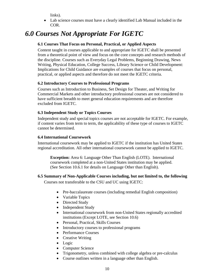links).

• Lab science courses must have a clearly identified Lab Manual included in the COR.

# <span id="page-10-1"></span><span id="page-10-0"></span>*6.0 Courses Not Appropriate For IGETC*

# **6.1 Courses That Focus on Personal, Practical, or Applied Aspects**

Content taught in courses applicable to and appropriate for IGETC shall be presented from a theoretical point of view and focus on the core concepts and research methods of the discipline. Courses such as Everyday Legal Problems, Beginning Drawing, News Writing, Physical Education, College Success, Library Science or Child Development: Implications for Child Guidance are examples of courses that focus on personal, practical, or applied aspects and therefore do not meet the IGETC criteria.

# <span id="page-10-2"></span>**6.2 Introductory Courses to Professional Programs**

Courses such as Introduction to Business, Set Design for Theater, and Writing for Commercial Markets and other introductory professional courses are not considered to have sufficient breadth to meet general education requirements and are therefore excluded from IGETC.

# <span id="page-10-3"></span>**6.3 Independent Study or Topics Courses**

Independent study and special topics courses are not acceptable for IGETC. For example, if content varies from term to term, the applicability of these type of courses to IGETC cannot be determined.

## <span id="page-10-4"></span>**6.4 International Coursework**

International coursework may be applied to IGETC if the institution has United States regional accreditation. All other international coursework cannot be applied to IGETC.

**Exception:** Area 6: Language Other Than English (LOTE). International coursework completed at a non-United States institution may be applied. (See Section 10.6.1 for details on Language Other than English).

# <span id="page-10-5"></span>**6.5 Summary of Non-Applicable Courses including, but not limited to, the following**

Courses not transferable to the CSU and UC using IGETC:

- Pre-baccalaureate courses (including remedial English composition)
- Variable Topics
- Directed Study
- Independent Study
- International coursework from non-United States regionally accredited institutions (Except LOTE, see Section 10.6)
- Personal, Practical, Skills Courses
- Introductory courses to professional programs
- Performance Courses
- Creative Writing
- Logic
- Computer Science
- Trigonometry, unless combined with college algebra or pre-calculus
- Course outlines written in a language other than English.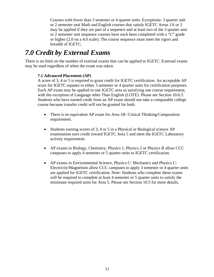Courses with fewer than 3 semester or 4 quarter units. Exceptions: 3 quarter unit or 2 semester unit Math and English courses that satisfy IGETC Areas 1A or 2 may be applied if they are part of a sequence and at least two of the 3 quarter unit or 2 semester unit sequence courses have each been completed with a "C" grade or higher (2.0 on a 4.0 scale). The course sequence must meet the rigors and breadth of IGETC.

# <span id="page-11-0"></span>*7.0 Credit by External Exams*

There is no limit on the number of external exams that can be applied to IGETC. External exams may be used regardless of when the exam was taken.

# **7.1 Advanced Placement (AP)**

A score of 3, 4 or 5 is required to grant credit for IGETC certification. An acceptable AP score for IGETC equates to either 3 semester or 4 quarter units for certification purposes. Each AP exam may be applied to one IGETC area as satisfying one course requirement, with the exception of Language other Than English (LOTE). Please see Section 10.6.3. Students who have earned credit from an AP exam should not take a comparable college course because transfer credit will not be granted for both.

- There is no equivalent AP exam for Area 1B- Critical Thinking/Composition requirement.
- Students earning scores of 3, 4 or 5 in a Physical or Biological science AP examination earn credit toward IGETC Area 5 and meet the IGETC Laboratory activity requirement.
- AP exams in Biology, Chemistry, Physics 1, Physics 2 or Physics B allow CCC campuses to apply 4 semester or 5 quarter units to IGETC certification.
- AP exams in Environmental Science, Physics C: Mechanics and Physics C: Electricity/Magnetism allow CCC campuses to apply 3 semester or 4 quarter units are applied for IGETC certification. Note: Students who complete these exams will be required to complete at least 4 semester or 5 quarter units to satisfy the minimum required units for Area 5. Please see Section 10.5 for more details.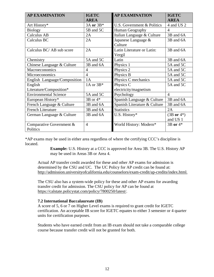| <b>AP EXAMINATION</b>        | <b>IGETC</b><br><b>AREA</b> | <b>AP EXAMINATION</b>        | <b>IGETC</b><br><b>AREA</b> |
|------------------------------|-----------------------------|------------------------------|-----------------------------|
|                              | 3A or 3B*                   | U.S. Government & Politics   | 4 and US 2                  |
| Art History*                 |                             |                              |                             |
| <b>Biology</b>               | 5B and 5C                   | Human Geography              | 4                           |
| Calculus AB                  | 2A                          | Italian Language & Culture   | 3B and 6A                   |
| Calculus BC                  | 2A                          | Japanese Language &          | 3B and 6A                   |
|                              |                             | Culture                      |                             |
| Calculus BC/ AB sub score    | 2A                          | Latin Literature or Latin:   | 3B and 6A                   |
|                              |                             | Vergil                       |                             |
| Chemistry                    | 5A and 5C                   | Latin                        | 3B and 6A                   |
| Chinese Language & Culture   | 3B and 6A                   | Physics 1                    | 5A and 5C                   |
| Macroeconomics               | $\overline{4}$              | Physics 2                    | 5A and 5C                   |
| Microeconomics               | $\overline{4}$              | Physics B                    | 5A and 5C                   |
| English Language/Composition | 1A                          | Physics C mechanics          | 5A and 5C                   |
| English                      | 1A or $3B*$                 | Physics C                    | 5A and 5C                   |
| Literature/Composition*      |                             | electricity/magnetism        |                             |
| <b>Environmental Science</b> | 5A and 5C                   | Psychology                   | $\overline{4}$              |
| European History*            | $3B$ or $4*$                | Spanish Language & Culture   | 3B and 6A                   |
| French Language & Culture    | 3B and 6A                   | Spanish Literature & Culture | 3B and 6A                   |
| <b>French Literature</b>     | 3B and 6A                   | <b>Statistics</b>            | 2A                          |
| German Language & Culture    | 3B and 6A                   | U.S. History*                | $(3B \text{ or } 4^*)$      |
|                              |                             |                              | and US 1                    |
| Comparative Government &     | $\overline{4}$              | World History: Modern*       | 3B or 4*                    |
| Politics                     |                             |                              |                             |

\*AP exams may be used in either area regardless of where the certifying CCC's discipline is located.

> **Example:** U.S. History at a CCC is approved for Area 3B. The U.S. History AP may be used in Areas 3B or Area 4.

Actual AP transfer credit awarded for these and other AP exams for admission is determined by the CSU and UC. The UC Policy for AP credit can be found at: [http://admission.universityofcalifornia.edu/counselors/exam-credit/ap-credits/index.html.](http://admission.universityofcalifornia.edu/counselors/exam-credit/ap-credits/index.html)

The CSU also has a system-wide policy for these and other AP exams for awarding transfer credit for admission. The CSU policy for AP can be found at [https://calstate.policystat.com/policy/7800250/latest/.](https://nam12.safelinks.protection.outlook.com/?url=https%3A%2F%2Fcalstate.policystat.com%2Fpolicy%2F7800250%2Flatest%2F&data=04%7C01%7CMBean%40riohondo.edu%7Cde57fb8580ad49d5f95308d8e7e9ed2a%7C672cb94a154949f2a29aa67abc976918%7C0%7C0%7C637514339190742452%7CUnknown%7CTWFpbGZsb3d8eyJWIjoiMC4wLjAwMDAiLCJQIjoiV2luMzIiLCJBTiI6Ik1haWwiLCJXVCI6Mn0%3D%7C1000&sdata=EJjIk28qIsvPnguDtMwiqr8dJNV2VPhleUxzXKBSlqg%3D&reserved=0)

#### **7.2 International Baccalaureate (IB)**

A score of 5, 6 or 7 on Higher Level exams is required to grant credit for IGETC certification. An acceptable IB score for IGETC equates to either 3 semester or 4 quarter units for certification purposes.

Students who have earned credit from an IB exam should not take a comparable college course because transfer credit will not be granted for both.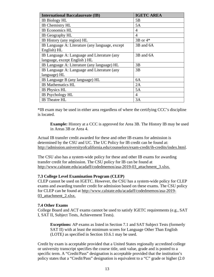| <b>International Baccalaureate (IB)</b>         | <b>IGETC AREA</b> |
|-------------------------------------------------|-------------------|
| <b>IB Biology HL</b>                            | 5B                |
| IB Chemistry HL                                 | 5A                |
| IB Economics HL                                 | 4                 |
| IB Geography HL                                 | 4                 |
| IB History (any region) HL                      | $3B$ or $4*$      |
| IB Language A: Literature (any language, except | 3B and 6A         |
| English) HL                                     |                   |
| IB Language A: Language and Literature (any     | 3B and 6A         |
| language, except English ) HL                   |                   |
| IB Language A: Literature (any language) HL     | 3B                |
| IB Language A: Language and Literature (any     | 3B                |
| language) HL                                    |                   |
| IB Language B (any language) HL                 | 6A                |
| <b>IB</b> Mathematics HL                        | 2A                |
| <b>IB</b> Physics HL                            | 5A                |
| IB Psychology HL                                | 4                 |
| <b>IB</b> Theatre HL                            | 3A                |

\*IB exam may be used in either area regardless of where the certifying CCC's discipline is located.

**Example:** History at a CCC is approved for Area 3B. The History IB may be used in Areas 3B or Area 4.

Actual IB transfer credit awarded for these and other IB exams for admission is determined by the CSU and UC. The UC Policy for IB credit can be found at: [http://admission.universityofcalifornia.edu/counselors/exam-credit/ib-credits/index.html.](http://admission.universityofcalifornia.edu/counselors/exam-credit/ib-credits/index.html)

The CSU also has a system-wide policy for these and other IB exams for awarding transfer credit for admission. The CSU policy for IB can be found at [http://www.calstate.edu/acadaff/codedmemos/asa-2019-03\\_attachment\\_3.xlsx.](http://www.calstate.edu/acadaff/codedmemos/asa-2019-03_attachment_3.xlsx)

#### **7.3 College Level Examination Program (CLEP)**

CLEP cannot be used on IGETC. However, the CSU has a system-wide policy for CLEP exams and awarding transfer credit for admission based on these exams. The CSU policy for CLEP can be found at [http://www.calstate.edu/acadaff/codedmemos/asa-2019-](http://www.calstate.edu/acadaff/codedmemos/asa-2019-03_attachment_2.xlsx) 03 attachment 2.xlsx.

#### **7.4 Other Exams**

College Board and ACT exams cannot be used to satisfy IGETC requirements (e.g., SAT I, SAT II, Subject Tests, Achievement Tests).

**Exceptions:** AP exams as listed in Section 7.1 and SAT Subject Tests (formerly SAT II) with at least the minimum scores for Language Other Than English (LOTE*)* as specified in Section 10.6.1 may be used.

Credit by exam is acceptable provided that a United States regionally accredited college or university transcript specifies the course title, unit value, grade and is posted to a specific term. A "Credit/Pass" designation is acceptable provided that the institution's policy states that a "Credit/Pass" designation is equivalent to a "C" grade or higher (2.0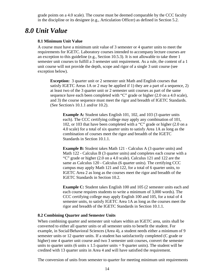grade points on a 4.0 scale). The course must be deemed comparable by the CCC faculty in the discipline or its designee (e.g., Articulation Officer) as defined in Section 5.2.

# <span id="page-14-1"></span><span id="page-14-0"></span>*8.0 Unit Value*

#### **8.1 Minimum Unit Value**

A course must have a minimum unit value of 3 semester or 4 quarter units to meet the requirements for IGETC*.* Laboratory courses intended to accompany lecture courses are an exception to this guideline (e.g., Section 10.5.3). It is not allowable to take three 1 semester unit courses to fulfill a 3 semester unit requirement. As a rule, the content of a 1 unit course will not provide the depth, scope and rigor of a single 3 unit course (see exception below).

**Exception:** 3 quarter unit or 2 semester unit Math and English courses that satisfy IGETC Areas 1A or 2 may be applied if 1) they are a part of a sequence, 2) at least two of the 3 quarter unit or 2 semester unit courses as part of the same sequence have each been completed with "C" grade or higher (2.0 on a 4.0 scale), and 3) the course sequence must meet the rigor and breadth of IGETC Standards. (See Section/s 10.1.1 and/or 10.2).

**Example A:** Student takes English 101, 102, and 103 (3 quarter units each). The CCC certifying college may apply any combination of 101, 102, or 103 that have been completed with a "C" grade or higher (2.0 on a 4.0 scale) for a total of six quarter units to satisfy Area 1A as long as the combination of courses meet the rigor and breadth of the IGETC Standards in Section 10.1.1.

**Example B:** Student takes Math 121 - Calculus A (3 quarter units) and Math 122 - Calculus B (3 quarter units) and completes each course with a "C" grade or higher (2.0 on a 4.0 scale). Calculus 121 and 122 are the same as Calculus 120 - Calculus (6 quarter units). The certifying CCC campus may apply Math 121 and 122, for a total of 6 quarter units, to IGETC Area 2 as long as the courses meet the rigor and breadth of the IGETC Standards in Section 10.2.

**Example C:** Student takes English 100 and 105 (2 semester units each and each course requires students to write a minimum of 3,000 words). The CCC certifying college may apply English 100 and 105, for a total of 4 semester units, to satisfy IGETC Area 1A as long as the courses meet the rigor and breadth of the IGETC Standards in Section 10.1.1.

#### <span id="page-14-2"></span>**8.2 Combining Quarter and Semester Units**

When combining quarter and semester unit values within an IGETC area, units shall be converted to either all quarter units or all semester units to benefit the student. For example, in Social/Behavioral Sciences (Area 4), a student needs either a minimum of 9 semester units or 12 quarter units. If a student has satisfactorily completed (C grade or higher) one 4 quarter unit course and two 3 semester unit courses, convert the semester units to quarter units (6 units x 1.5 quarter units  $= 9$  quarter units). The student will be credited with 13 quarter units in Area 4 and will have satisfied the requirement.

The conversion of units from semester to quarter for meeting minimum unit requirements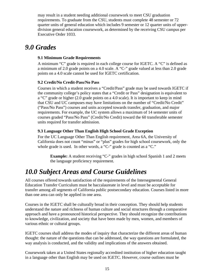may result in a student needing additional coursework to meet CSU graduation requirements. To graduate from the CSU, students must complete 48 semester or 72 quarter units of general education which includes 9 semester or 12 quarter units of upperdivision general education coursework, as determined by the receiving CSU campus per Executive Order 1033.

# <span id="page-15-1"></span><span id="page-15-0"></span>*9.0 Grades*

# **9.1 Minimum Grade Requirements**

A minimum "C" grade is required in each college course for IGETC. A "C" is defined as a minimum of 2.0 grade points on a 4.0 scale. A "C-" grade valued at less than 2.0 grade points on a 4.0 scale cannot be used for IGETC certification.

# <span id="page-15-2"></span>**9.2 Credit/No Credit-Pass/No Pass**

Courses in which a student receives a "Credit/Pass" grade may be used towards IGETC if the community college's policy states that a "Credit or Pass" designation is equivalent to a "C" grade or higher (2.0 grade points on a 4.0 scale). It is important to keep in mind that CSU and UC campuses may have limitations on the number of "Credit/No Credit" ("Pass/No Pass") courses and units accepted towards transfer, graduation, and major requirements. For example, the UC system allows a maximum of 14 semester units of courses graded "Pass/No Pass" (Credit/No Credit) toward the 60 transferable semester units required for transfer admission.

# <span id="page-15-3"></span>**9.3 Language Other Than English High School Grade Exception**

For the UC Language Other Than English requirement, Area 6A, the University of California does not count "minus" or "plus" grades for high school coursework, only the whole grade is used. In other words, a "C-" grade is counted as a "C."

**Example:** A student receiving "C-" grades in high school Spanish 1 and 2 meets the language proficiency requirement*.*

# <span id="page-15-4"></span>*10.0 Subject Areas and Course Guidelines*

All courses offered towards satisfaction of the requirements of the Intersegmental General Education Transfer Curriculum must be baccalaureate in level and must be acceptable for transfer among all segments of California public postsecondary education. Courses listed in more than one area can only be applied in one area.

Courses in the IGETC shall be culturally broad in their conception. They should help students understand the nature and richness of human culture and social structures through a comparative approach and have a pronounced historical perspective. They should recognize the contributions to knowledge, civilization, and society that have been made by men, women, and members of various ethnic or cultural groups.

IGETC courses shall address the modes of inquiry that characterize the different areas of human thought: the nature of the questions that can be addressed, the way questions are formulated, the way analysis is conducted, and the validity and implications of the answers obtained.

Coursework taken at a United States regionally accredited institution of higher education taught in a language other than English may be used on IGETC. However, course outlines must be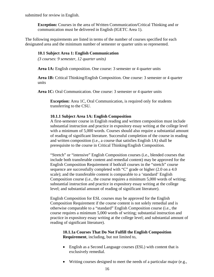submitted for review in English.

**Exception:** Courses in the area of Written Communication/Critical Thinking and or communication must be delivered in English (IGETC Area 1).

<span id="page-16-0"></span>The following requirements are listed in terms of the number of courses specified for each designated area and the minimum number of semester or quarter units so represented.

#### **10.1 Subject Area 1: English Communication**

*(3 courses: 9 semester, 12 quarter units)*

**Area 1A:** English composition. One course: 3 semester or 4 quarter units

**Area 1B:** Critical Thinking/English Composition. One course: 3 semester or 4 quarter units

**Area 1C:** Oral Communication. One course: 3 semester or 4 quarter units

**Exception:** Area 1C, Oral Communication, is required only for students transferring to the CSU.

#### <span id="page-16-1"></span>**10.1.1 Subject Area 1A: English Composition**

A first-semester course in English reading and written composition must include substantial instruction and practice in expository essay writing at the college level with a minimum of 5,000 words. Courses should also require a substantial amount of reading of significant literature. Successful completion of the course in reading and written composition (i.e., a course that satisfies English 1A) shall be prerequisite to the course in Critical Thinking/English Composition.

"Stretch" or "intensive" English Composition courses (i.e., blended courses that include both transferable content and remedial content) may be approved for the English Composition Requirement if both/all courses in the "stretch" course sequence are successfully completed with "C" grade or higher (2.0 on a 4.0 scale); and the transferable content is comparable to a 'standard' English Composition course (i.e., the course requires a minimum 5,000 words of writing; substantial instruction and practice in expository essay writing at the college level; and substantial amount of reading of significant literature).

English Composition for ESL courses may be approved for the English Composition Requirement if the course content is not solely remedial and is otherwise comparable to a "standard" English Composition course (i.e., the course requires a minimum 5,000 words of writing; substantial instruction and practice in expository essay writing at the college level; and substantial amount of reading of significant literature).

### <span id="page-16-2"></span>**10.1.1a Courses That Do Not Fulfill the English Composition Requirement**, including, but not limited to,

- English as a Second Language courses (ESL) with content that is exclusively remedial.
- Writing courses designed to meet the needs of a particular major (e.g.,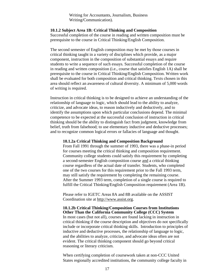Writing for Accountants, Journalism, Business Writing/Communication).

#### <span id="page-17-0"></span>**10.1.2 Subject Area 1B: Critical Thinking and Composition**

Successful completion of the course in reading and written composition must be prerequisite to the course in Critical Thinking/English Composition.

The second semester of English composition may be met by those courses in critical thinking taught in a variety of disciplines which provide, as a major component, instruction in the composition of substantial essays and require students to write a sequence of such essays. Successful completion of the course in reading and written composition (i.e., course that satisfies English 1A) shall be prerequisite to the course in Critical Thinking/English Composition. Written work shall be evaluated for both composition and critical thinking. Texts chosen in this area should reflect an awareness of cultural diversity. A minimum of 5,000 words of writing is required.

Instruction in critical thinking is to be designed to achieve an understanding of the relationship of language to logic, which should lead to the ability to analyze, criticize, and advocate ideas, to reason inductively and deductively, and to identify the assumptions upon which particular conclusions depend. The minimal competence to be expected at the successful conclusion of instruction in critical thinking should be the ability to distinguish fact from judgment, knowledge from belief, truth from falsehood; to use elementary inductive and deductive processes; and to recognize common logical errors or fallacies of language and thought.

#### **10.1.2a Critical Thinking and Composition Background**

From Fall 1991 through the summer of 1993, there was a phase-in period for courses meeting the critical thinking and composition requirement. Community college students could satisfy this requirement by completing a second-semester English composition course and a critical thinking course regardless of the actual date of transfer. Students, who completed one of the two courses for this requirement prior to the Fall 1993 term, may still satisfy the requirement by completing the remaining course. After the Summer 1993 term, completion of a single course is required to fulfill the Critical Thinking/English Composition requirement (Area 1B).

Please refer to IGETC Areas 8A and 8B available on the ASSIST Coordination site at [http://www.assist.org.](http://www.assist.org/)

# **10.1.2b Critical Thinking/Composition Courses from Institutions Other Than the California Community College (CCC) System**

In most cases (but not all), courses are found lacking in instruction in critical thinking if the course description and objectives do not specifically include or incorporate critical thinking skills. Introduction to principles of inductive and deductive processes, the relationship of language to logic, and the abilities to analyze, criticize, and advocate ideas often are not evident. The critical thinking component should go beyond critical reasoning or literary criticism.

When certifying completion of coursework taken at non-CCC United States regionally accredited institutions, the community college faculty in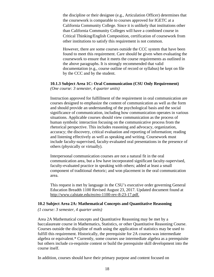the discipline or their designee (e.g., Articulation Officer) determines that the coursework is comparable to courses approved for IGETC at a California Community College. Since it is unlikely that institutions other than California Community Colleges will have a combined course in Critical Thinking/English Composition, certification of coursework from other institutions to satisfy this requirement is not common.

However, there are some courses outside the CCC system that have been found to meet this requirement. Care should be given when evaluating the coursework to ensure that it meets the course requirements as outlined in the above paragraphs. It is strongly recommended that valid documentation (e.g., course outline of record or syllabus) be kept on file by the CCC and by the student.

### <span id="page-18-0"></span>**10.1.3 Subject Area 1C: Oral Communication (CSU Only Requirement)**

*(One course: 3 semester, 4 quarter units)*

Instruction approved for fulfillment of the requirement in oral communication are courses designed to emphasize the content of communication as well as the form and should provide an understanding of the psychological basis and the social significance of communication, including how communication operates in various situations. Applicable courses should view communication as the process of human symbolic interaction focusing on the communicative process from the rhetorical perspective. This includes reasoning and advocacy, organization, accuracy; the discovery, critical evaluation and reporting of information; reading and listening effectively as well as speaking and writing. Coursework must include faculty-supervised, faculty-evaluated oral presentations in the presence of others (physically or virtually).

Interpersonal communication courses are not a natural fit in the oral communication area, but a few have incorporated significant faculty-supervised, faculty-evaluated practice in speaking with others; added at least a small component of traditional rhetoric; and won placement in the oral communication area.

This request is met by language in the CSU's executive order governing General Education Breadth 1100 Revised August 23, 2017. Updated document found at [http://www.calstate.edu/eo/eo-1100-rev-8-23-17.pdf.](https://linkprotect.cudasvc.com/url?a=http%3a%2f%2fwww.calstate.edu%2feo%2feo-1100-rev-8-23-17.pdf&c=E,1,jJq02I_BM4dGT8_Euffs7HCOXQm8TMu9z9-5d3NvgAVB7DwHL6jnXEcJcFgQQ3tztJM6j5ELNtYy9pb9VK5KAwWWbbiB649YP6cxH0KmY09IRI6DHKLidA9pMw,,&typo=1)

#### <span id="page-18-1"></span>**10.2 Subject Area 2A: Mathematical Concepts and Quantitative Reasoning**

*(1 course: 3 semester, 4 quarter units)*

Area 2A Mathematical concepts and Quantitative Reasoning may be met by a baccalaureate course in Mathematics, Statistics, or other Quantitative Reasoning Course. Courses outside the discipline of math using the application of statistics may be used to fulfill this requirement. Historically, the prerequisite for 2A courses was intermediate algebra or equivalent.\* Currently, some courses use intermediate algebra as a prerequisite but others include co-requisite content or build the prerequisite skill development into the course itself.

In addition, courses should have their primary purpose and content focused on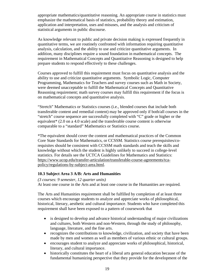appropriate mathematics/quantitative reasoning. An appropriate course in statistics must emphasize the mathematical basis of statistics, probability theory and estimation, application and interpretation, uses and misuses, and the analysis and criticism of statistical arguments in public discourse.

As knowledge relevant to public and private decision making is expressed frequently in quantitative terms, we are routinely confronted with information requiring quantitative analysis, calculation, and the ability to use and criticize quantitative arguments. In addition, many disciplines require a sound foundation in mathematical concepts. The requirement in Mathematical Concepts and Quantitative Reasoning is designed to help prepare students to respond effectively to these challenges.

Courses approved to fulfill this requirement must focus on quantitative analysis and the ability to use and criticize quantitative arguments. Symbolic Logic, Computer Programming, Mathematics for Teachers and survey courses such as Math in Society, were deemed unacceptable to fulfill the Mathematical Concepts and Quantitative Reasoning requirement; math survey courses may fulfill this requirement if the focus is on mathematical concepts and quantitative analysis.

"Stretch" Mathematics or Statistics courses (i.e., blended courses that include both transferable content and remedial content) may be approved only if both/all courses in the "stretch" course sequence are successfully completed with "C" grade or higher or the equivalent\* (2.0 on a 4.0 scale) and the transferable course content is otherwise comparable to a "standard" Mathematics or Statistics course.

\*The equivalent should cover the content and mathematical practices of the Common Core State Standards for Mathematics, or CCSSM. Statistics course prerequisites/corequisites should be consistent with CCSSM math standards and teach the skills and knowledge without which the student is highly unlikely to succeed in college-level statistics. For details see the UCTCA Guidelines for Mathematics and Statistics: [https://www.ucop.edu/transfer-articulation/transferable-course-agreements/tca](https://www.ucop.edu/transfer-articulation/transferable-course-agreements/tca-policy/regulations-by-subject-area.html)[policy/regulations-by-subject-area.html.](https://www.ucop.edu/transfer-articulation/transferable-course-agreements/tca-policy/regulations-by-subject-area.html)

## <span id="page-19-0"></span>**10.3 Subject Area 3 A/B: Arts and Humanities**

# *(3 courses: 9 semester, 12 quarter units)*

At least one course in the Arts and at least one course in the Humanities are required.

The Arts and Humanities requirement shall be fulfilled by completion of at least three courses which encourage students to analyze and appreciate works of philosophical, historical, literary, aesthetic and cultural importance. Students who have completed this requirement shall have been exposed to a pattern of coursework that

- is designed to develop and advance historical understanding of major civilizations and cultures, both Western and non-Western, through the study of philosophy, language, literature, and the fine arts.
- recognizes the contributions to knowledge, civilization, and society that have been made by men and women as well as members of various ethnic or cultural groups.
- encourages student to analyze and appreciate works of philosophical, historical, literary, and cultural importance.
- historically constitutes the heart of a liberal arts general education because of the fundamental humanizing perspective that they provide for the development of the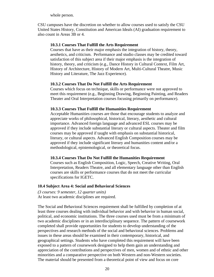whole person.

CSU campuses have the discretion on whether to allow courses used to satisfy the CSU United States History, Constitution and American Ideals (AI) graduation requirement to also count in Areas 3B or 4.

#### <span id="page-20-0"></span>**10.3.1 Courses That Fulfill the Arts Requirement**

Courses that have as their major emphasis the integration of history, theory, aesthetics, and criticism. Performance and studio classes may be credited toward satisfaction of this subject area if their major emphasis is the integration of history, theory, and criticism (e.g., Dance History in Cultural Context, Film Art, History of Architecture, History of Modern Art, Multi-Cultural Theatre, Music History and Literature, The Jazz Experience).

#### <span id="page-20-1"></span>**10.3.2 Courses That Do Not Fulfill the Arts Requirement**

Courses which focus on technique, skills or performance were not approved to meet this requirement (e.g., Beginning Drawing, Beginning Painting, and Readers Theater and Oral Interpretation courses focusing primarily on performance).

#### <span id="page-20-2"></span>**10.3.3 Courses That Fulfill the Humanities Requirement**

Acceptable Humanities courses are those that encourage students to analyze and appreciate works of philosophical, historical, literary, aesthetic and cultural importance. Advanced foreign language and advanced ESL courses may be approved if they include substantial literary or cultural aspects. Theater and film courses may be approved if taught with emphasis on substantial historical, literary, or cultural aspects. Advanced English Composition courses may be approved if they include significant literary and humanities content and/or a methodological, epistemological, or theoretical focus.

#### <span id="page-20-3"></span>**10.3.4 Courses That Do Not Fulfill the Humanities Requirement**

Courses such as English Composition, Logic, Speech, Creative Writing, Oral Interpretation, Readers Theatre, and all elementary language other than English courses are skills or performance courses that do not meet the curricular specifications for IGETC.

#### <span id="page-20-4"></span>**10.4 Subject Area 4: Social and Behavioral Sciences**

*(3 courses: 9 semester, 12 quarter units)* At least two academic disciplines are required.

The Social and Behavioral Sciences requirement shall be fulfilled by completion of at least three courses dealing with individual behavior and with behavior in human social, political, and economic institutions. The three courses used must be from a minimum of two academic disciplines or in an interdisciplinary sequence. The pattern of coursework completed shall provide opportunities for students to develop understanding of the perspectives and research methods of the social and behavioral sciences. Problems and issues in these areas should be examined in their contemporary, historical, and geographical settings. Students who have completed this requirement will have been exposed to a pattern of coursework designed to help them gain an understanding and appreciation of the contributions and perspectives of men, women and of ethnic and other minorities and a comparative perspective on both Western and non-Western societies. The material should be presented from a theoretical point of view and focus on core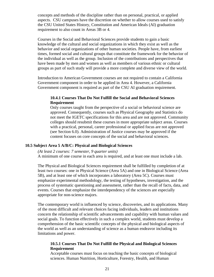concepts and methods of the discipline rather than on personal, practical, or applied aspects. CSU campuses have the discretion on whether to allow courses used to satisfy the CSU United States History, Constitution and American Ideals (AI) graduation requirement to also count in Areas 3B or 4.

Courses in the Social and Behavioral Sciences provide students to gain a basic knowledge of the cultural and social organizations in which they exist as well as the behavior and social organizations of other human societies. People have, from earliest times, formed social and cultural groups that constitute the framework for the behavior of the individual as well as the group. Inclusion of the contributions and perspectives that have been made by men and women as well as members of various ethnic or cultural groups as part of such study will provide a more complete and diverse view of the world.

<span id="page-21-0"></span>Introduction to American Government courses are not required to contain a California Government component in order to be applied in Area 4. However, a California Government component is required as part of the CSU AI graduation requirement.

### **10.4.1 Courses That Do Not Fulfill the Social and Behavioral Sciences Requirement**

Only courses taught from the perspective of a social or behavioral science are approved. Consequently, courses such as Physical Geography and Statistics do not meet the IGETC specifications for this area and are not approved. Community colleges should resubmit these courses in more appropriate subject areas. Courses with a practical, personal, career professional or applied focus are not approved (see Section 6.0). Administration of Justice courses may be approved if the content focuses on core concepts of the social and behavioral sciences.

### <span id="page-21-1"></span>**10.5 Subject Area 5 A/B/C: Physical and Biological Sciences**

#### *(At least 2 courses: 7 semester, 9 quarter units)*

A minimum of one course in each area is required, and at least one must include a lab.

The Physical and Biological Sciences requirement shall be fulfilled by completion of at least two courses: one in Physical Science (Area 5A) and one in Biological Science (Area 5B), and at least one of which incorporates a laboratory (Area 5C). Courses must emphasize experimental methodology, the testing of hypotheses, investigation, and the process of systematic questioning and assessment, rather than the recall of facts, data, and events. Courses that emphasize the interdependency of the sciences are especially appropriate for non-science majors.

The contemporary world is influenced by science, discoveries, and its applications. Many of the most difficult and relevant choices facing individuals, leaders and institutions concern the relationship of scientific advancements and capability with human values and social goals. To function effectively in such a complex world, students must develop a comprehension of the basic scientific concepts of the physical and biological aspects of the world as well as an understanding of science as a human endeavor including its limitations and power.

#### <span id="page-21-2"></span>**10.5.1 Courses That Do Not Fulfill the Physical and Biological Sciences Requirement**

Acceptable courses must focus on teaching the basic concepts of biological sciences. Human Nutrition, Horticulture, Forestry, Health, and Human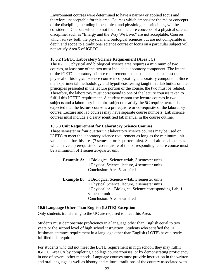Environment courses were determined to have a narrow or applied focus and therefore unacceptable for this area. Courses which emphasize the major concepts of the discipline, including biochemical and physiological principles, will be considered. Courses which do not focus on the core concepts of a physical science discipline, such as "Energy and the Way We Live," are not acceptable. Courses which survey both the physical and biological sciences but are not comparable in depth and scope to a traditional science course or focus on a particular subject will not satisfy Area 5 of IGETC.

#### <span id="page-22-0"></span>**10.5.2 IGETC Laboratory Science Requirement (Area 5C)**

The IGETC physical and biological science area requires a minimum of two courses, at least one of the two must include a laboratory component. The intent of the IGETC laboratory science requirement is that students take at least one physical or biological science course incorporating a laboratory component. Since the experimental methodology and hypothesis testing taught in a lab builds on the principles presented in the lecture portion of the course, the two must be related. Therefore, the laboratory must correspond to one of the lecture courses taken to fulfill this IGETC requirement. A student cannot use lecture courses in two subjects and a laboratory in a third subject to satisfy the 5C requirement. It is expected that the lecture course is a prerequisite or co-requisite of the laboratory course. Lecture and lab courses may have separate course numbers. Lab science courses must include a clearly identified lab manual in the course outline.

#### <span id="page-22-1"></span>**10.5.3 Unit Requirement for Laboratory Science Courses**

Three semester or four quarter unit laboratory science courses may be used on IGETC to meet the laboratory science requirement as long as the minimum unit value is met for this area (7 semester or 9 quarter units). Stand-alone lab courses which have a prerequisite or co-requisite of the corresponding lecture course must be a minimum of 1 semester/quarter unit.

| <b>Example A:</b> 1 Biological Science w/lab, 3 semester units |  |  |
|----------------------------------------------------------------|--|--|
| 1 Physical Science, lecture, 4 semester units                  |  |  |
| Conclusion: Area 5 satisfied                                   |  |  |
| <b>Example B:</b> 1 Biological Science w/lab, 3 semester units |  |  |
| 1 Physical Science, lecture, 3 semester units                  |  |  |
| 1 Physical or 1 Biological Science corresponding Lab, 1        |  |  |
| semester unit                                                  |  |  |
| Conclusion: Area 5 satisfied                                   |  |  |

#### <span id="page-22-2"></span>**10.6 Language Other Than English (LOTE) Exception:**

Only students transferring to the UC are required to meet this Area.

Students must demonstrate proficiency in a language other than English equal to two years or the second level of high school instruction. Students who satisfied the UC freshman entrance requirement in a language other than English (LOTE) have already fulfilled this requirement.

For students who did not meet the LOTE requirement in high school, they may fulfill IGETC Area 6A by completing a college course/courses, or by demonstrating proficiency in one of several other methods. Language courses must provide instruction in the written and oral language as well as history and cultural traditions of the country associated with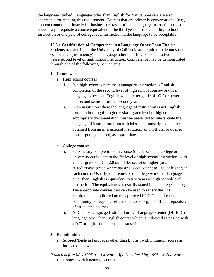the language studied. Languages other than English for Native Speakers are also acceptable for meeting this requirement. Courses that are primarily conversational (e.g., content cannot be primarily for business or travel-oriented language instruction) must have as a prerequisite a course equivalent to the third year/third level of high school instruction or one year of college level instruction in the language to be acceptable.

## <span id="page-23-0"></span>**10.6.1 Certification of Competence in a Language Other Than English**

Students transferring to the University of California are required to demonstrate competence (proficiency) in a language other than English equal to two years/second level of high school instruction. Competence may be demonstrated through one of the following mechanisms:

# **1. Coursework**

- a. High school courses
	- i. In a high school where the language of instruction is English, completion of the second level of high school coursework in a language other than English with a letter grade of "C-" or better in the second semester of the second year.
	- ii. In an institution where the language of instruction is not English, formal schooling through the sixth-grade level or higher. Appropriate documentation must be presented to substantiate the language of instruction. If an official sealed transcript cannot be obtained from an international institution, an unofficial or opened transcript may be used, as appropriate.

# b. College courses

- i. Satisfactory completion of a course (or courses) at a college or university equivalent to the  $2<sup>nd</sup>$  level of high school instruction, with a letter grade of "C" (2.0 out of 4.0 scale) or higher (or a "Credit/Pass" grade where passing is equivalent to 2.00 or higher) in each course. Usually, one semester of college work in a language other than English is equivalent to two years of high school-level instruction. The equivalency is usually stated in the college catalog. The appropriate courses that can be used to satisfy the LOTE requirement is indicated on the approved IGETC list of each community college and reflected at assist.org, the official repository of articulated courses.
- ii. A Defense Language Institute Foreign Language Center (DLIFLC) language other than English course which is indicated as passed with a "C" or higher on the official transcript.

# **2. Examinations**

a. **Subject Tests** in languages other than English with minimum scores as indicated below:

*If taken before May 1995 use 1st score / If taken after May 1995 use 2nd score:* 

• Chinese with listening: 500/520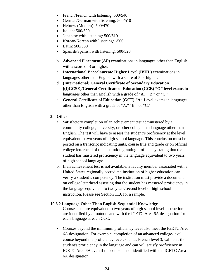- French/French with listening: 500/540
- German/German with listening: 500/510
- Hebrew (Modern): 500/470
- Italian: 500/520
- Japanese with listening: 500/510
- Korean/Korean with listening: /500
- Latin: 500/530
- Spanish/Spanish with listening: 500/520
- b. **Advanced Placement (AP)** examinations in languages other than English with a score of 3 or higher.
- c. **International Baccalaureate Higher Level (IBHL)** examinations in languages other than English with a score of 5 or higher.
- d. **(International) General Certificate of Secondary Education [(I)GCSE]/General Certificate of Education (GCE) "O" level** exams in languages other than English with a grade of "A," "B," or "C."
- e. **General Certificate of Education (GCE) "A" Level** exams in languages other than English with a grade of "A," "B," or "C."

### **3. Other**

- a. Satisfactory completion of an achievement test administered by a community college, university, or other college in a language other than English. The test will have to assess the student's proficiency at the level equivalent to two years of high school language. This conclusion must be posted on a transcript indicating units, course title and grade or on official college letterhead of the institution granting proficiency stating that the student has mastered proficiency in the language equivalent to two years of high school language.
- b. If an achievement test is not available, a faculty member associated with a United States regionally accredited institution of higher education can verify a student's competency. The institution must provide a document on college letterhead asserting that the student has mastered proficiency in the language equivalent to two years/second level of high school instruction. Please see Section 11.6 for a sample.

#### <span id="page-24-0"></span>**10.6.2 Language Other Than English-Sequential Knowledge**

Courses that are equivalent to two years of high school level instruction are identified by a footnote and with the IGETC Area 6A designation for each language at each CCC.

• Courses beyond the minimum proficiency level also meet the IGETC Area 6A designation. For example, completion of an advanced college-level course beyond the proficiency level, such as French level 3, validates the student's proficiency in the language and can will satisfy proficiency in IGETC Area 6A even if the course is not identified with the IGETC Area 6A designation.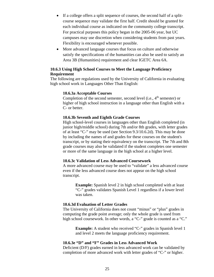- If a college offers a split sequence of courses, the second half of a splitcourse sequence may validate the first half. Credit should be granted for each individual course as indicated on the community college transcript. For practical purposes this policy began in the 2005-06 year, but UC campuses may use discretion when considering students from past years. Flexibility is encouraged whenever possible.
- More advanced language courses that focus on culture and otherwise satisfy the specifications of the humanities can also be used to satisfy an Area 3B (Humanities) requirement and clear IGETC Area 6A.

#### <span id="page-25-0"></span>**10.6.3 Using High School Courses to Meet the Language Proficiency Requirement**

The following are regulations used by the University of California in evaluating high school work in Languages Other Than English:

#### **10.6.3a Acceptable Courses**

Completion of the second semester, second level (i.e.,  $4<sup>th</sup>$  semester) or higher of high school instruction in a language other than English with a C- or better.

#### **10.6.3b Seventh and Eighth Grade Courses**

High school-level courses in languages other than English completed (in junior high/middle school) during 7th and/or 8th grades, with letter grades of at least "C-" may be used (see Section 9.3/10.6.2d). This may be done by including the names of and grades for these courses on the student's transcript, or by stating their equivalency on the transcript. The 7th and 8th grade courses may also be validated if the student completes one semester or more of the same language in the high school at a higher level.

#### **10.6.3c Validation of Less Advanced Coursework**

A more advanced course may be used to "validate" a less advanced course even if the less advanced course does not appear on the high school transcript.

**Example:** Spanish level 2 in high school completed with at least "C-" grades validates Spanish Level 1 regardless if a lower level was taken.

#### **10.6.3d Evaluation of Letter Grades**

The University of California does not count "minus" or "plus" grades in computing the grade point average; only the whole grade is used from high school coursework. In other words, a "C-" grade is counted as a "C."

> **Example:** A student who received "C-" grades in Spanish level 1 and level 2 meets the language proficiency requirement.

### **10.6.3e "D" and "F" Grades in Less Advanced Work**

Deficient (D/F) grades earned in less advanced work can be validated by completion of more advanced work with letter grades of "C-" or higher.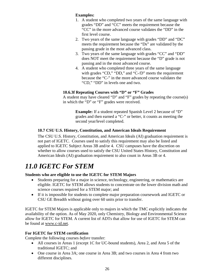# **Examples:**

- 1. A student who completed two years of the same language with grades "DD" and "CC" meets the requirement because the "CC" in the more advanced course validates the "DD" in the first level course.
- 2. Two years of the same language with grades "DD" and "DC" meets the requirement because the "Ds" are validated by the passing grade in the most advanced class.
- 3. Two years of the same language with grades "CC" and "DD" does NOT meet the requirement because the "D" grade is not passing and in the most advanced course.
- 4. A student who completed three years of the same language with grades "CD," "DD," and "C-/D" meets the requirement because the "C-" in the more advanced course validates the "CD," "DD" in levels one and two.

# **10.6.3f Repeating Courses with "D" or "F" Grades**

A student may have cleared "D" and "F" grades by repeating the course(s) in which the "D" or "F" grades were received.

**Example:** If a student repeated Spanish Level 2 because of "D" grades and then earned a "C-" or better, it counts as meeting the second year/level completed.

# <span id="page-26-0"></span>**10.7 CSU U.S. History, Constitution, and American Ideals Requirement**

The CSU U.S. History, Constitution, and American Ideals (AI) graduation requirement is not part of IGETC. Courses used to satisfy this requirement may also be listed and applied to IGETC Subject Areas 3B and/or 4. CSU campuses have the discretion on whether to allow courses used to satisfy the CSU United States History, Constitution and American Ideals (AI) graduation requirement to also count in Areas 3B or 4.

# <span id="page-26-1"></span>*11.0 IGETC For STEM*

# **Students who are eligible to use the IGETC for STEM Majors**

- Students preparing for a major in science, technology, engineering, or mathematics are eligible. IGETC for STEM allows students to concentrate on the lower division math and science courses required for a STEM major; and
- If it is impossible for students to complete major preparation coursework and IGETC or CSU GE Breadth without going over 60 units prior to transfer.

IGETC for STEM Majors is applicable only to majors in which the TMC explicitly indicates the availability of the option. As of May 2020, only Chemistry, Biology and Environmental Science allow for IGETC for STEM. A current list of ADTs that allow for use of IGETC for STEM can be found at [www.c-id.net.](http://www.c-id.net/)

# **For IGETC for STEM certification**

Complete the following courses *before* transfer:

- All courses in Areas 1 (except 1C for UC-bound students), Area 2, and Area 5 of the traditional IGETC; and
- One course in Area 3A; one course in Area 3B; and two courses in Area 4 from two different disciplines.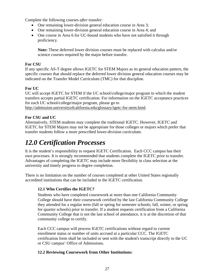Complete the following courses *after* transfer:

- One remaining lower-division general education course in Area 3;
- One remaining lower-division general education course in Area 4; and
- One course in Area 6 for UC-bound students who have not satisfied it through proficiency.

**Note:** These deferred lower division courses must be replaced with calculus and/or science courses required by the major before transfer.

# **For CSU**

If any specific AS-T degree allows IGETC for STEM Majors as its general education pattern, the specific courses that should replace the deferred lower division general education courses may be indicated on the Transfer Model Curriculum (TMC) for that discipline.

# **For UC**

UC will accept IGETC for STEM if the UC school/college/major program to which the student transfers accepts partial IGETC certification. For information on the IGETC acceptance practices for each UC school/college/major program, please go to

[http://admission.universityofcalifornia.edu/glossary/igetc-for-stem.html.](http://admission.universityofcalifornia.edu/glossary/igetc-for-stem.html)

# **For CSU and UC**

Alternatively, STEM students may complete the traditional IGETC. However, IGETC and IGETC for STEM Majors may not be appropriate for those colleges or majors which prefer that transfer students follow a more prescribed lower-division curriculum.

# <span id="page-27-0"></span>*12.0 Certification Processes*

It is the student's responsibility to request IGETC Certification. Each CCC campus has their own processes. It is strongly recommended that students complete the IGETC prior to transfer. Advantages of completing the IGETC may include more flexibility in class selection at the university and timely progress to degree completion.

There is no limitation on the number of courses completed at other United States regionally accredited institutions that can be included in the IGETC certification.

# <span id="page-27-1"></span>**12.1 Who Certifies the IGETC?**

Students who have completed coursework at more than one California Community College should have their coursework certified by the last California Community College they attended for a regular term (fall or spring for semester schools; fall, winter, or spring for quarter schools) prior to transfer. If a student requests certification from a California Community College that is not the last school of attendance, it is at the discretion of that community college to certify.

Each CCC campus will process IGETC certifications without regard to current enrollment status or number of units accrued at a particular CCC. The IGETC certification form shall be included or sent with the student's transcript directly to the UC or CSU campus' Office of Admissions.

# <span id="page-27-2"></span>**12.2 Reviewing Coursework from Other Institutions:**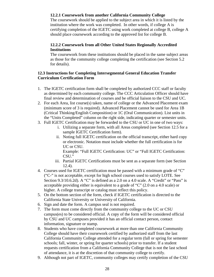## <span id="page-28-0"></span>**12.2.1 Coursework from another California Community College**

The coursework should be applied to the subject area in which it is listed by the institution where the work was completed. In other words, if college A is certifying completion of the IGETC using work completed at college B, college A should place coursework according to the approved list for college B.

### <span id="page-28-1"></span>**12.2.2 Coursework from all Other United States Regionally Accredited Institutions**

The coursework from these institutions should be placed in the same subject areas as those for the community college completing the certification (see Section 5.2 for details).

### <span id="page-28-2"></span>**12.3 Instructions for Completing Intersegmental General Education Transfer Curriculum Certification Form**

- 1. The IGETC certification form shall be completed by authorized CCC staff or faculty as determined by each community college. The CCC Articulation Officer should have final review and determination of courses and be official liaison to the CSU and UC.
- 2. For each Area, list course(s) taken, name of college or the Advanced Placement exam (minimum score of 3 is required). Advanced Placement cannot be used for Area 1B (Critical Thinking/English Composition) or 1C (Oral Communication). List units in the "Units Completed" column on the right side, indicating quarter or semester units.
- 3. Full IGETC Certification may be forwarded to the CSU or UC in one of two ways:
	- i. Utilizing a separate form, with all Areas completed (see Section 12.5 for a sample IGETC Certification form).
	- ii. Noting full IGETC certification on the official transcript, either hard copy or electronic. Notation must include whether the full certification is for UC or CSU. Example: "Full IGETC Certification: UC" or "Full IGETC Certification: CSU."
	- iii. Partial IGETC Certifications must be sent as a separate form (see Section 12.4).
- 4. Courses used for IGETC certification must be passed with a minimum grade of "C" ("C-" is not acceptable, except for high school courses used to satisfy LOTE. See Section 9.3/10.6.2d). A "C" is defined as a 2.0 on a 4.0 scale. A "Credit" or "Pass" is acceptable providing either is equivalent to a grade of "C" (2.0 on a 4.0 scale) or higher. A college transcript or catalog must reflect this policy.
- 5. On the bottom section of the form, check if IGETC certification is directed to the California State University or University of California.
- 6. Sign and date the form. A campus seal is not required.
- 7. The form must come directly from the community college to the UC or CSU campus(es) to be considered official. A copy of the form will be considered official by CSU and UC campuses provided it has an official contact person, contact information, signature or stamp.
- 8. Students who have completed coursework at more than one California Community College should have their coursework certified by authorized staff from the last California Community College attended for a regular term (fall or spring for semester schools; fall, winter, or spring for quarter schools) prior to transfer. If a student requests certification from a California Community College that is not the last school of attendance, it is at the discretion of that community college to certify.
- 9. Although not part of IGETC, community colleges may certify completion of the CSU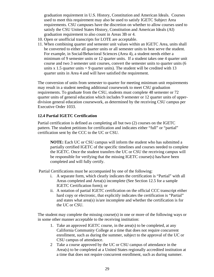graduation requirement in U.S. History, Constitution and American Ideals. Courses used to meet this requirement may also be used to satisfy IGETC Subject Area requirements. CSU campuses have the discretion on whether to allow courses used to satisfy the CSU United States History, Constitution and American Ideals (AI) graduation requirement to also count in Areas 3B or 4.

- 10. Open or unofficial transcripts for LOTE are acceptable.
- 11. When combining quarter and semester unit values within an IGETC Area, units shall be converted to either all quarter units or all semester units to best serve the student. For example, in Social/Behavioral Sciences (Area 4), a student needs either a minimum of 9 semester units or 12 quarter units. If a student takes one 4 quarter unit course and two 3 semester unit courses, convert the semester units to quarter units (6 units  $x$  1.5 quarter units  $= 9$  quarter units). The student will be credited with 13 quarter units in Area 4 and will have satisfied the requirement.

The conversion of units from semester to quarter for meeting minimum unit requirements may result in a student needing additional coursework to meet CSU graduation requirements. To graduate from the CSU, students must complete 48 semester or 72 quarter units of general education which includes 9 semester or 12 quarter units of upperdivision general education coursework, as determined by the receiving CSU campus per Executive Order 1033.

### <span id="page-29-0"></span>**12.4 Partial IGETC Certification**

Partial certification is defined as completing all but two (2) courses on the IGETC pattern. The student petitions for certification and indicates either "full" or "partial" certification sent by the CCC to the UC or CSU.

**NOTE:** Each UC or CSU campus will inform the student who has submitted a partially certified IGETC of the specific timelines and courses needed to complete the IGETC. Once the student transfers the UC or CSU the receiving campus will be responsible for verifying that the missing IGETC course(s) has/have been completed and will fully certify.

Partial Certifications must be accompanied by one of the following:

- i. A separate form, which clearly indicates the certification is "Partial" with all Areas completed and Area(s) incomplete (See Section 12.5 for a sample IGETC Certification form); or
- ii. A notation of partial IGETC certification on the official CCC transcript either hard copy or electronic, that explicitly indicates the certification is "Partial" and states what area(s) is/are incomplete and whether the certification is for the UC or CSU.

The student may complete the missing course(s) in one or more of the following ways or in some other manner acceptable to the receiving institution:

- 1. Take an approved IGETC course, in the area(s) to be completed, at any California Community College at a time that does not require concurrent enrollment, such as during the summer, subject to the approval of the UC or CSU campus of attendance.
- 2 Take a course approved by the UC or CSU campus of attendance in the Area(s) to be completed at a United States regionally accredited institution at a time that does not require concurrent enrollment, such as during summer.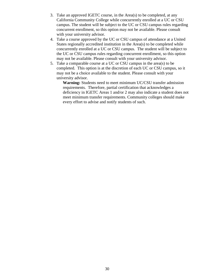- 3. Take an approved IGETC course, in the Area(s) to be completed, at any California Community College while concurrently enrolled at a UC or CSU campus. The student will be subject to the UC or CSU campus rules regarding concurrent enrollment, so this option may not be available. Please consult with your university advisor.
- 4. Take a course approved by the UC or CSU campus of attendance at a United States regionally accredited institution in the Area(s) to be completed while concurrently enrolled at a UC or CSU campus. The student will be subject to the UC or CSU campus rules regarding concurrent enrollment, so this option may not be available. Please consult with your university advisor.
- 5. Take a comparable course at a UC or CSU campus in the area(s) to be completed. This option is at the discretion of each UC or CSU campus, so it may not be a choice available to the student. Please consult with your university advisor.

**Warning:** Students need to meet minimum UC/CSU transfer admission requirements. Therefore, partial certification that acknowledges a deficiency in IGETC Areas 1 and/or 2 may also indicate a student does not meet minimum transfer requirements. Community colleges should make every effort to advise and notify students of such.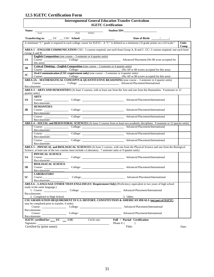# <span id="page-31-0"></span>**12.5 IGETC Certification Form**

 $\Gamma$ 

| <b>Intersegmental General Education Transfer Curriculum</b><br><b>IGETC Certification</b>                                                                                                                                                                                                    |                                                                          |  |                                                                                                                                                                                                                                |                       |
|----------------------------------------------------------------------------------------------------------------------------------------------------------------------------------------------------------------------------------------------------------------------------------------------|--------------------------------------------------------------------------|--|--------------------------------------------------------------------------------------------------------------------------------------------------------------------------------------------------------------------------------|-----------------------|
| Student ID#: No. 2014<br>Name: _<br><u>and the company of the company of the company of the company of the company of the company of the company of the company of the company of the company of the company of the company of the company of the company of the com</u><br>(First) (Middle) |                                                                          |  |                                                                                                                                                                                                                                |                       |
|                                                                                                                                                                                                                                                                                              | (Last)                                                                   |  |                                                                                                                                                                                                                                |                       |
|                                                                                                                                                                                                                                                                                              |                                                                          |  |                                                                                                                                                                                                                                |                       |
|                                                                                                                                                                                                                                                                                              |                                                                          |  |                                                                                                                                                                                                                                | <b>Units</b><br>Comp. |
|                                                                                                                                                                                                                                                                                              | Group A and B.                                                           |  | AREA 1 – ENGLISH COMMUNICATION CSU: 3 courses required, one each from Group A, B and C. UC: 2 courses required, one each from                                                                                                  |                       |
|                                                                                                                                                                                                                                                                                              | <b>English Composition</b> (one course $-3$ semester or 4 quarter units) |  |                                                                                                                                                                                                                                |                       |
| 1A                                                                                                                                                                                                                                                                                           | this area):                                                              |  | Course: Course: College: College: College: Advanced Placement (No IB score accepted for                                                                                                                                        |                       |
| 1B                                                                                                                                                                                                                                                                                           | Course:<br>College:                                                      |  | <b>Critical Thinking – English Composition</b> (one course $-3$ semester or 4 quarter units)<br>(No AP or IB scores accepted for this area)                                                                                    |                       |
| 1 <sub>C</sub>                                                                                                                                                                                                                                                                               | Course: College:                                                         |  | Oral Communication (CSU requirement only) (one course $-3$ semester or 4 quarter units)<br>(No AP or IB scores accepted for this area)                                                                                         |                       |
|                                                                                                                                                                                                                                                                                              |                                                                          |  | AREA 2A - MATHEMATICAL CONCEPTS & QUANTITATIVE REASONING (one course - 3 semester or 4 quarter units)                                                                                                                          |                       |
|                                                                                                                                                                                                                                                                                              | Baccalaureate:                                                           |  | Course: Course: College: College: Advanced Placement/International                                                                                                                                                             |                       |
|                                                                                                                                                                                                                                                                                              |                                                                          |  | AREA 3 - ARTS AND HUMANITIES (At least 3 courses, with at least one from the Arts and one from the Humanities. 9 semester or 12                                                                                                |                       |
|                                                                                                                                                                                                                                                                                              | quarter units)                                                           |  |                                                                                                                                                                                                                                |                       |
|                                                                                                                                                                                                                                                                                              | <b>ARTS</b>                                                              |  |                                                                                                                                                                                                                                |                       |
| 3A                                                                                                                                                                                                                                                                                           | Baccalaureate:                                                           |  |                                                                                                                                                                                                                                |                       |
|                                                                                                                                                                                                                                                                                              | <b>HUMANITIES</b>                                                        |  |                                                                                                                                                                                                                                |                       |
| 3B                                                                                                                                                                                                                                                                                           |                                                                          |  | Course: College: College: Advanced Placement/International                                                                                                                                                                     |                       |
|                                                                                                                                                                                                                                                                                              | Baccalaureate:                                                           |  |                                                                                                                                                                                                                                |                       |
|                                                                                                                                                                                                                                                                                              |                                                                          |  | Course: Course: Course: Course: Course: Course: Course: Course: Course: Course: Course: Course: Course: Course: Course: Course: Course: Course: Course: Course: Course: Course: Course: Course: Course: Course: Course: Course |                       |
|                                                                                                                                                                                                                                                                                              | Baccalaureate:                                                           |  |                                                                                                                                                                                                                                |                       |
|                                                                                                                                                                                                                                                                                              |                                                                          |  | AREA 4 - SOCIAL and BEHAVIORAL SCIENCES (At least 3 courses from at least two academic disciplines. 9 semester or 12 quarter units)                                                                                            |                       |
|                                                                                                                                                                                                                                                                                              | Baccalaureate:                                                           |  | Course: College: College: Advanced Placement/International                                                                                                                                                                     |                       |
|                                                                                                                                                                                                                                                                                              |                                                                          |  | Course: Course: College: College: College: Advanced Placement/International                                                                                                                                                    |                       |
|                                                                                                                                                                                                                                                                                              | Baccalaureate:                                                           |  | Baccalaureate:<br>Course: Course: College: College: Advanced Placement/International                                                                                                                                           |                       |
|                                                                                                                                                                                                                                                                                              |                                                                          |  |                                                                                                                                                                                                                                |                       |
|                                                                                                                                                                                                                                                                                              | Baccalaureate:                                                           |  | AREA 5 - PHYSICAL and BIOLOGICAL SCIENCES (At least 2 courses, with one from the Physical Science and one from the Biological                                                                                                  |                       |
|                                                                                                                                                                                                                                                                                              |                                                                          |  | Science, at least one of the two courses must include a Laboratory. 7 semester units or 9 quarter units)                                                                                                                       |                       |
|                                                                                                                                                                                                                                                                                              | PHYSICAL SCIENCE                                                         |  |                                                                                                                                                                                                                                |                       |
| 5A                                                                                                                                                                                                                                                                                           |                                                                          |  | Course: College: College: Advanced Placement/International                                                                                                                                                                     |                       |
|                                                                                                                                                                                                                                                                                              | Baccalaureate:                                                           |  |                                                                                                                                                                                                                                |                       |
|                                                                                                                                                                                                                                                                                              | <b>BIOLOGICAL SCIENCE</b>                                                |  |                                                                                                                                                                                                                                |                       |
| 5В                                                                                                                                                                                                                                                                                           |                                                                          |  | Course: Course: College: College: College: Advanced Placement/International                                                                                                                                                    |                       |
|                                                                                                                                                                                                                                                                                              | Baccalaureate:                                                           |  |                                                                                                                                                                                                                                |                       |
| 5C                                                                                                                                                                                                                                                                                           | <b>LABORATORY</b>                                                        |  |                                                                                                                                                                                                                                |                       |
|                                                                                                                                                                                                                                                                                              | Baccalaureate:                                                           |  | Course: Course: College: College: College: Advanced Placement/International                                                                                                                                                    |                       |
|                                                                                                                                                                                                                                                                                              |                                                                          |  | AREA 6 - LANGUAGE OTHER THAN ENGLISH (UC Requirement Only) (Proficiency equivalent to two years of high school                                                                                                                 |                       |
|                                                                                                                                                                                                                                                                                              | study in the same language.)                                             |  |                                                                                                                                                                                                                                |                       |
|                                                                                                                                                                                                                                                                                              |                                                                          |  | 1. Course: College: College: Advanced Placement/International                                                                                                                                                                  |                       |
|                                                                                                                                                                                                                                                                                              | Baccalaureate:                                                           |  |                                                                                                                                                                                                                                |                       |
|                                                                                                                                                                                                                                                                                              | 2. Completed in High School:                                             |  | 3. Other:                                                                                                                                                                                                                      |                       |
|                                                                                                                                                                                                                                                                                              |                                                                          |  | CSU GRADUATION REQUIREMENT IN U.S. HISTORY, CONSTITUTION & AMERICAN IDEALS (not part of IGETC;                                                                                                                                 |                       |
|                                                                                                                                                                                                                                                                                              | may be completed prior to transfer, 6 units)                             |  |                                                                                                                                                                                                                                |                       |
|                                                                                                                                                                                                                                                                                              | Baccalaureate:                                                           |  |                                                                                                                                                                                                                                |                       |
|                                                                                                                                                                                                                                                                                              |                                                                          |  | Course: Course: College: College: Advanced Placement/International                                                                                                                                                             |                       |
|                                                                                                                                                                                                                                                                                              | Baccalaureate:                                                           |  |                                                                                                                                                                                                                                |                       |
|                                                                                                                                                                                                                                                                                              | IGETC certified for: UC CSU Circle one:                                  |  | Full / Partial Certification                                                                                                                                                                                                   |                       |
|                                                                                                                                                                                                                                                                                              |                                                                          |  | Phone $\#$ : (<br>$\lambda$<br><u> 1989 - Johann Barn, mars ann an t-Amhain Aonaich an t-Aonaich an t-Aonaich ann an t-Aonaich ann an t-Aonaich</u>                                                                            |                       |
|                                                                                                                                                                                                                                                                                              | Certified by (print name):                                               |  | Title:                                                                                                                                                                                                                         | Date:                 |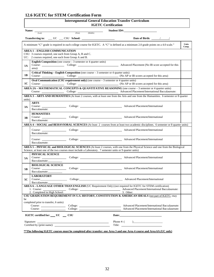# <span id="page-32-0"></span>**12.6 IGETC for STEM Certification Form**

|                                       |                                                                                                                  | <b>Intersegmental General Education Transfer Curriculum</b><br><b>IGETC Certification</b>                                                                                                                                      |
|---------------------------------------|------------------------------------------------------------------------------------------------------------------|--------------------------------------------------------------------------------------------------------------------------------------------------------------------------------------------------------------------------------|
|                                       | <b>Name:</b> $\frac{1}{(Last)}$ (First) (Middle)                                                                 | Student ID#: No. 2014                                                                                                                                                                                                          |
|                                       |                                                                                                                  |                                                                                                                                                                                                                                |
|                                       |                                                                                                                  |                                                                                                                                                                                                                                |
|                                       |                                                                                                                  | A minimum "C" grade is required in each college course for IGETC. A "C" is defined as a minimum 2.0 grade points on a 4.0 scale."<br><b>Units</b><br>Comp.                                                                     |
|                                       | <b>AREA 1 - ENGLISH COMMUNICATION</b>                                                                            |                                                                                                                                                                                                                                |
|                                       | CSU: 3 courses required, one each from Group A, B and C.<br>UC: 2 courses required, one each from Group A and B. |                                                                                                                                                                                                                                |
|                                       | <b>English Composition</b> (one course $-3$ semester or 4 quarter units)                                         |                                                                                                                                                                                                                                |
| 1A<br>area):                          |                                                                                                                  | Course: College: College: Advanced Placement (No IB score accepted for this                                                                                                                                                    |
|                                       | <b>Critical Thinking – English Composition</b> (one course $-3$ semester or 4 quarter units)                     |                                                                                                                                                                                                                                |
| 1B                                    |                                                                                                                  | Course: College: College: $\overline{O}$ College: $\overline{O}$ (No AP or IB scores accepted for this area)                                                                                                                   |
|                                       |                                                                                                                  |                                                                                                                                                                                                                                |
| 1C                                    |                                                                                                                  | College: College: (No AP or IB scores accepted for this area)<br>AREA 2A - MATHEMATICAL CONCEPTS & QUANTITATIVE REASONING (one course - 3 semester or 4 quarter units)                                                         |
|                                       |                                                                                                                  | Course: College: College: Advanced Placement/International Baccalaureate:                                                                                                                                                      |
|                                       |                                                                                                                  | AREA 3 - ARTS AND HUMANITIES (At least 2 courses, with at least one from the Arts and one from the Humanities. 6 semester or 8 quarter                                                                                         |
| units)                                |                                                                                                                  |                                                                                                                                                                                                                                |
| <b>ARTS</b><br>3A                     |                                                                                                                  | Course: Coulege: College: Advanced Placement/International                                                                                                                                                                     |
| Baccalaureate:                        |                                                                                                                  |                                                                                                                                                                                                                                |
| <b>HUMANITIES</b>                     |                                                                                                                  |                                                                                                                                                                                                                                |
| 3B<br>Baccalaureate:                  |                                                                                                                  | Course: College: College: Advanced Placement/International                                                                                                                                                                     |
|                                       |                                                                                                                  | AREA 4 - SOCIAL and BEHAVIORAL SCIENCES (At least 2 courses from at least two academic disciplines. 6 semester or 8 quarter units)                                                                                             |
|                                       |                                                                                                                  | Course: Course: College: College: College: Advanced Placement/International                                                                                                                                                    |
| Baccalaureate:                        |                                                                                                                  |                                                                                                                                                                                                                                |
|                                       |                                                                                                                  | Course: College: College: Advanced Placement/International                                                                                                                                                                     |
| Baccalaureate:                        |                                                                                                                  |                                                                                                                                                                                                                                |
|                                       |                                                                                                                  | AREA 5 - PHYSICAL and BIOLOGICAL SCIENCES (At least 2 courses, with one from the Physical Science and one from the Biological                                                                                                  |
| PHYSICAL SCIENCE                      |                                                                                                                  | Science, at least one of the two courses must include a Laboratory. 7 semester units or 9 quarter units)                                                                                                                       |
| 5A                                    |                                                                                                                  | Course: Coulege: College: Advanced Placement/International                                                                                                                                                                     |
| Baccalaureate:                        |                                                                                                                  |                                                                                                                                                                                                                                |
| <b>BIOLOGICAL SCIENCE</b>             |                                                                                                                  | Course: College: College: Advanced Placement/International                                                                                                                                                                     |
| 5B<br>Baccalaureate:                  |                                                                                                                  |                                                                                                                                                                                                                                |
| <b>LABORATORY</b>                     |                                                                                                                  |                                                                                                                                                                                                                                |
| 5C<br>Baccalaureate:                  |                                                                                                                  | Course: College: College: Advanced Placement/International                                                                                                                                                                     |
|                                       |                                                                                                                  | AREA 6 - LANGUAGE OTHER THAN ENGLISH (UC Requirement Only) (not required for IGETC for STEM certification)                                                                                                                     |
| 2. Completed in High School:          |                                                                                                                  | 1. Course: College: College: College: Advanced Placement/International Baccalaureate:<br>3. Other:                                                                                                                             |
|                                       |                                                                                                                  | CSU GRADUATION REQUIREMENT IN U.S. HISTORY, CONSTITUTION & AMERICAN IDEALS (not part of IGETC; may                                                                                                                             |
| be                                    |                                                                                                                  |                                                                                                                                                                                                                                |
| completed prior to transfer, 6 units) |                                                                                                                  | Course: College: College: Advanced Placement/International Baccalaureate:                                                                                                                                                      |
|                                       |                                                                                                                  | Course: College: College: Advanced Placement/International Baccalaureate:                                                                                                                                                      |
|                                       | IGETC certified for: UC __ CSU                                                                                   | Date: the contract of the contract of the contract of the contract of the contract of the contract of the contract of the contract of the contract of the contract of the contract of the contract of the contract of the cont |
|                                       |                                                                                                                  | Phone #: $($ )                                                                                                                                                                                                                 |
|                                       |                                                                                                                  |                                                                                                                                                                                                                                |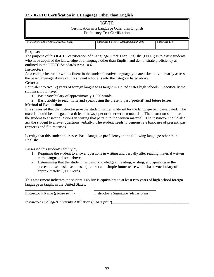### <span id="page-33-0"></span>**12.7 IGETC Certification in a Language Other than English**

# IGETC

Certification in a Language Other than English Proficiency Test Certification

| STUDENT'S LAST NAME (PLEASE PRINT) | STUDENT'S FIRST NAME (PLEASE PRINT) | STUDENT ID# |
|------------------------------------|-------------------------------------|-------------|
|                                    |                                     |             |

#### **Purpose:**

The purpose of this IGETC certification of "Language Other Than English" (LOTE) is to assist students who have acquired the knowledge of a language other than English and demonstrate proficiency as outlined in the IGETC Standards Area 10.6.

#### **Instructors:**

As a college instructor who is fluent in the student's native language you are asked to voluntarily assess the basic language ability of this student who falls into the category listed above.

#### **Criteria:**

Equivalent to two (2) years of foreign language as taught in United States high schools. Specifically the student should have;

- 1. Basic vocabulary of approximately 1,000 words;
- 2. Basic ability to read, write and speak using the present, past (preterit) and future tenses.

#### **Method of Evaluation:**

It is suggested that the instructor give the student written material for the language being evaluated. The material could be a magazine article, or newspaper or other written material. The instructor should ask the student to answer questions in writing that pertain to the written material. The instructor should also ask the student to answer questions verbally. The student needs to demonstrate basic use of present, past (preterit) and future tenses.

I certify that this student possesses basic language proficiency in the following language other than English:

I assessed this student's ability by:

- 1. Requiring the student to answer questions in writing and verbally after reading material written in the language listed above.
- 2. Determining that the student has basic knowledge of reading, writing, and speaking in the present tense, basic past tense, (preterit) and simple future tense with a basic vocabulary of approximately 1,000 words.

This assessment indicates the student's ability is equivalent to at least two years of high school foreign language as taught in the United States.

| Instructor's Name ( <i>please print</i> ) | Instructor's Signature ( <i>please print</i> ) |
|-------------------------------------------|------------------------------------------------|

Instructor's College/University Affiliation (*please print*)\_\_\_\_\_\_\_\_\_\_\_\_\_\_\_\_\_\_\_\_\_\_\_\_\_\_\_\_\_\_\_\_\_\_\_\_\_\_\_\_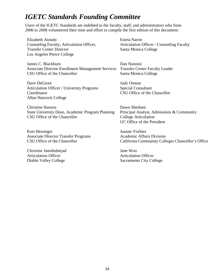# <span id="page-34-0"></span>*IGETC Standards Founding Committee*

Users of the IGETC Standards are indebted to the faculty, staff, and administrators who from 2006 to 2008 volunteered their time and effort to compile the first edition of this document:

Elizabeth Atondo Counseling Faculty, Articulation Officer, Transfer Center Director Los Angeles Pierce College

James C. Blackburn Associate Director Enrollment Management Services CSU Office of the Chancellor

Dave DeGroot Articulation Officer / University Programs Coordinator Allan Hancock College

Christine Hanson State University Dean, Academic Program Planning CSU Office of the Chancellor

Kurt Hessinger Associate Director Transfer Programs CSU Office of the Chancellor

Christine Jamshidnejad Articulation Officer Diablo Valley College

Estela Narrie Articulation Officer / Counseling Faculty Santa Monica College

Dan Nannini Transfer Center Faculty Leader Santa Monica College

Judy Osman Special Consultant CSU Office of the Chancellor

Dawn Sheibani Principal Analyst, Admissions & Community College Articulation UC Office of the President

Joanne Vorhies Academic Affairs Division California Community Colleges Chancellor's Office

Jane Woo Articulation Officer Sacramento City College.